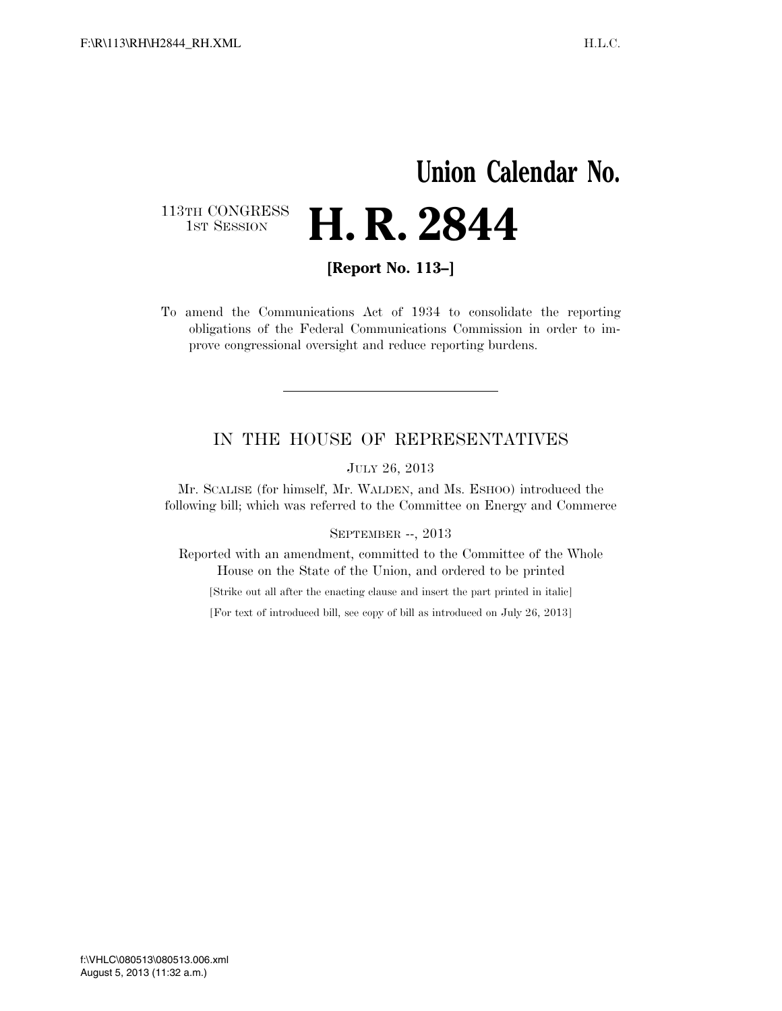## **Union Calendar No.** 113TH CONGRESS<br>1st Session **H. R. 2844**

**[Report No. 113–]** 

To amend the Communications Act of 1934 to consolidate the reporting obligations of the Federal Communications Commission in order to improve congressional oversight and reduce reporting burdens.

## IN THE HOUSE OF REPRESENTATIVES

JULY 26, 2013

Mr. SCALISE (for himself, Mr. WALDEN, and Ms. ESHOO) introduced the following bill; which was referred to the Committee on Energy and Commerce

#### SEPTEMBER --, 2013

Reported with an amendment, committed to the Committee of the Whole House on the State of the Union, and ordered to be printed

[Strike out all after the enacting clause and insert the part printed in italic]

[For text of introduced bill, see copy of bill as introduced on July 26, 2013]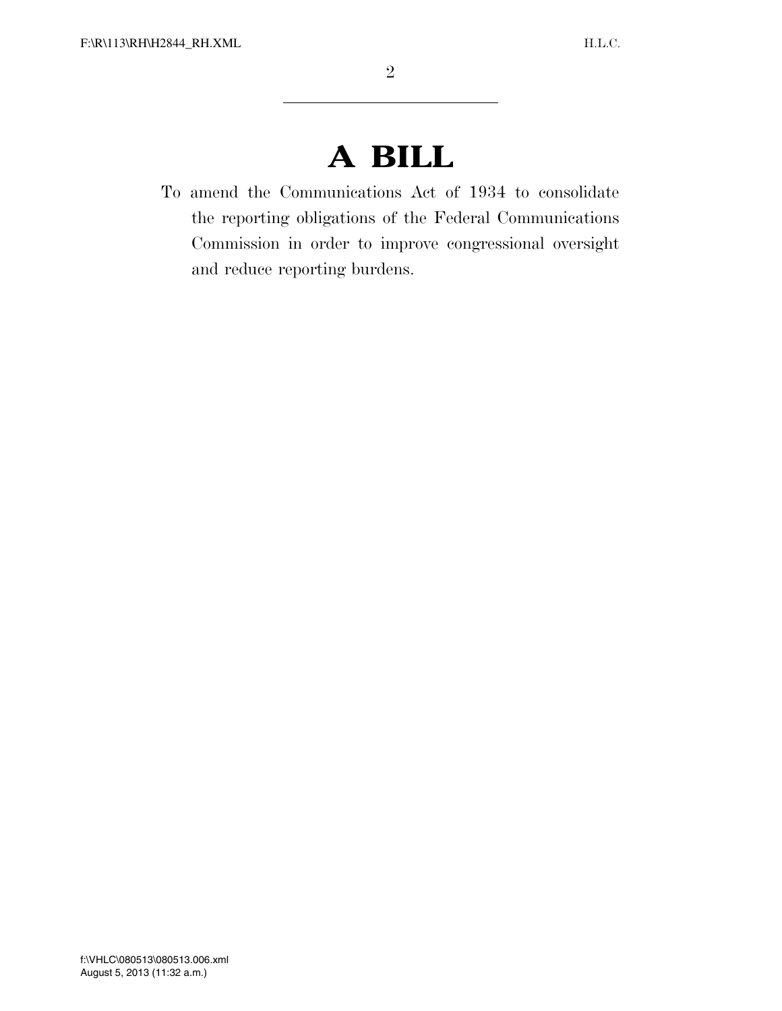# **A BILL**

To amend the Communications Act of 1934 to consolidate the reporting obligations of the Federal Communications Commission in order to improve congressional oversight and reduce reporting burdens.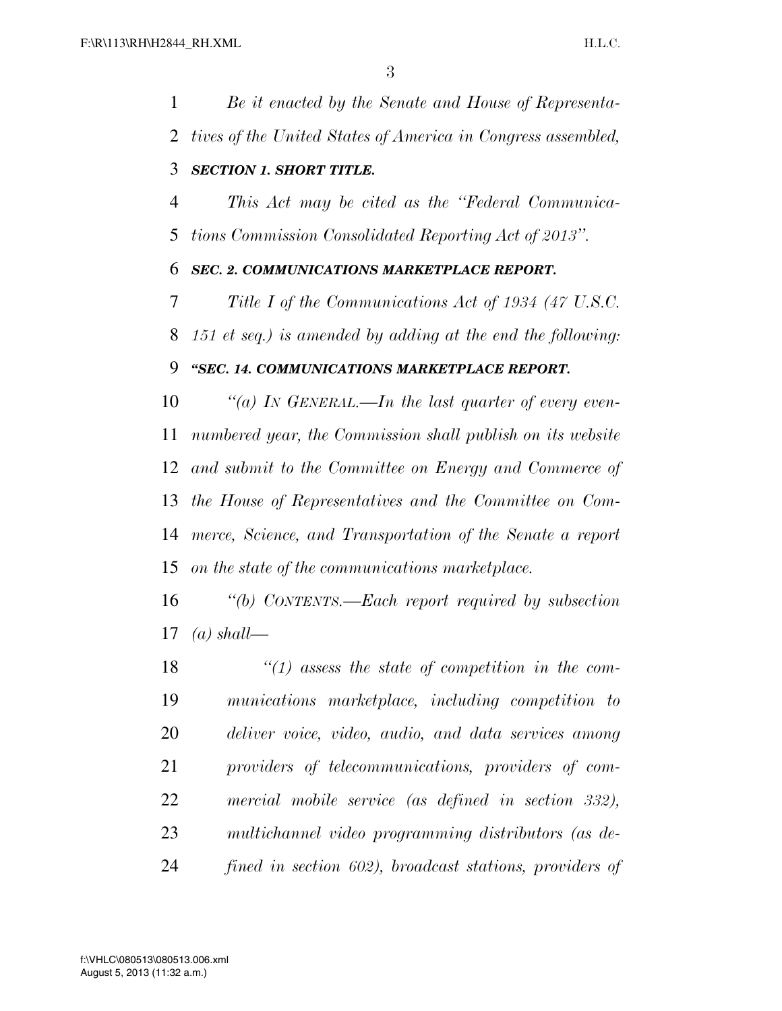*Be it enacted by the Senate and House of Representa-*

 *tives of the United States of America in Congress assembled, SECTION 1. SHORT TITLE. This Act may be cited as the ''Federal Communica- tions Commission Consolidated Reporting Act of 2013''. SEC. 2. COMMUNICATIONS MARKETPLACE REPORT. Title I of the Communications Act of 1934 (47 U.S.C. 151 et seq.) is amended by adding at the end the following: ''SEC. 14. COMMUNICATIONS MARKETPLACE REPORT. ''(a) IN GENERAL.—In the last quarter of every even- numbered year, the Commission shall publish on its website and submit to the Committee on Energy and Commerce of the House of Representatives and the Committee on Com- merce, Science, and Transportation of the Senate a report on the state of the communications marketplace. ''(b) CONTENTS.—Each report required by subsection (a) shall— ''(1) assess the state of competition in the com-*

 *munications marketplace, including competition to deliver voice, video, audio, and data services among providers of telecommunications, providers of com- mercial mobile service (as defined in section 332), multichannel video programming distributors (as de-fined in section 602), broadcast stations, providers of*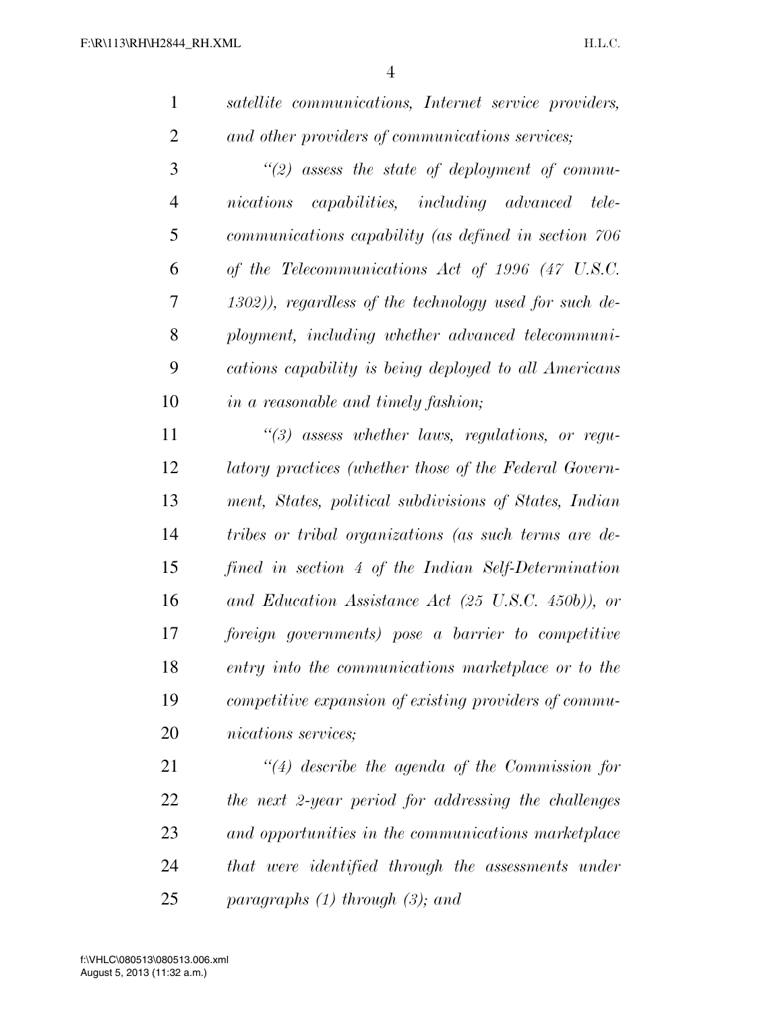*satellite communications, Internet service providers, and other providers of communications services;* 

 *''(2) assess the state of deployment of commu- nications capabilities, including advanced tele- communications capability (as defined in section 706 of the Telecommunications Act of 1996 (47 U.S.C. 1302)), regardless of the technology used for such de- ployment, including whether advanced telecommuni- cations capability is being deployed to all Americans in a reasonable and timely fashion;* 

 *''(3) assess whether laws, regulations, or regu- latory practices (whether those of the Federal Govern- ment, States, political subdivisions of States, Indian tribes or tribal organizations (as such terms are de- fined in section 4 of the Indian Self-Determination and Education Assistance Act (25 U.S.C. 450b)), or foreign governments) pose a barrier to competitive entry into the communications marketplace or to the competitive expansion of existing providers of commu-nications services;* 

 *''(4) describe the agenda of the Commission for the next 2-year period for addressing the challenges and opportunities in the communications marketplace that were identified through the assessments under paragraphs (1) through (3); and*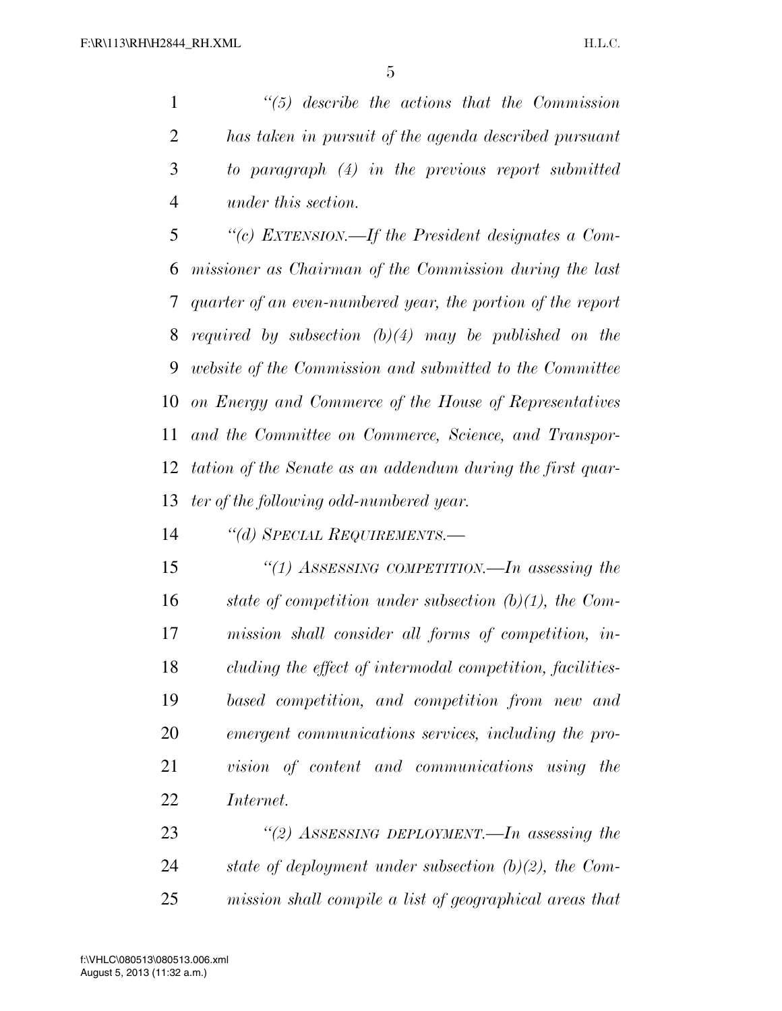*''(5) describe the actions that the Commission has taken in pursuit of the agenda described pursuant to paragraph (4) in the previous report submitted under this section.* 

 *''(c) EXTENSION.—If the President designates a Com- missioner as Chairman of the Commission during the last quarter of an even-numbered year, the portion of the report required by subsection (b)(4) may be published on the website of the Commission and submitted to the Committee on Energy and Commerce of the House of Representatives and the Committee on Commerce, Science, and Transpor- tation of the Senate as an addendum during the first quar-ter of the following odd-numbered year.* 

*''(d) SPECIAL REQUIREMENTS.—*

 *''(1) ASSESSING COMPETITION.—In assessing the state of competition under subsection (b)(1), the Com- mission shall consider all forms of competition, in- cluding the effect of intermodal competition, facilities- based competition, and competition from new and emergent communications services, including the pro- vision of content and communications using the Internet.* 

 *''(2) ASSESSING DEPLOYMENT.—In assessing the state of deployment under subsection (b)(2), the Com-mission shall compile a list of geographical areas that*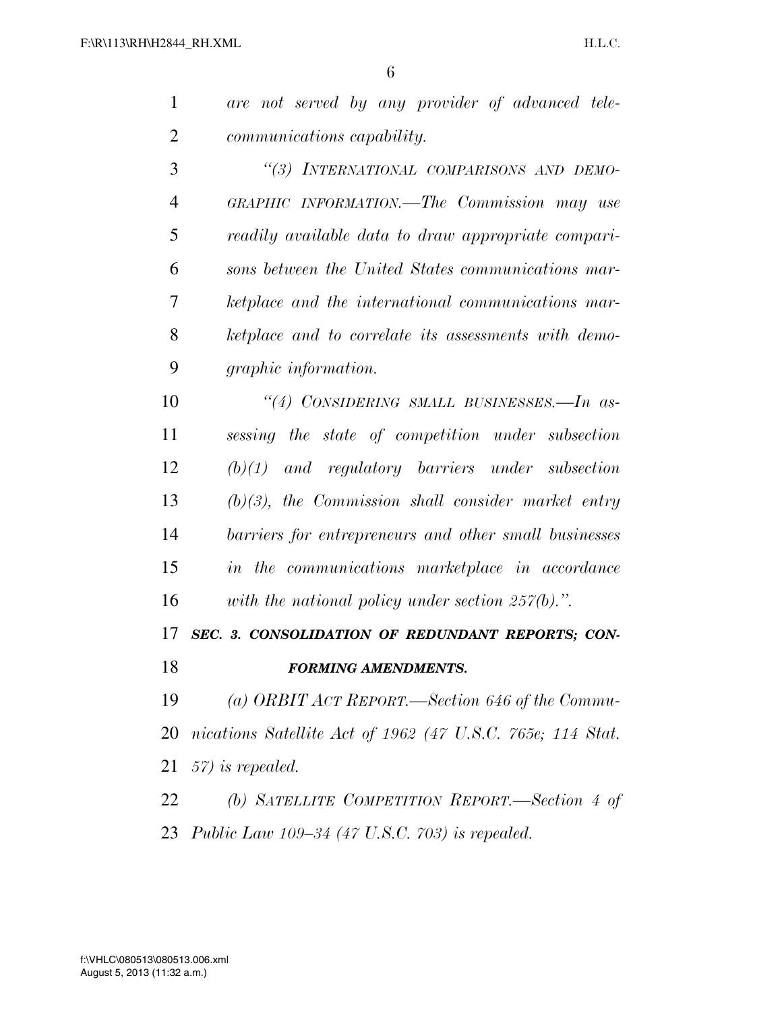| $\mathbf{1}$   | are not served by any provider of advanced tele-           |
|----------------|------------------------------------------------------------|
| $\overline{2}$ | <i>communications capability.</i>                          |
| 3              | "(3) INTERNATIONAL COMPARISONS AND DEMO-                   |
| $\overline{4}$ | GRAPHIC INFORMATION.—The Commission may use                |
| 5              | readily available data to draw appropriate compari-        |
| 6              | sons between the United States communications mar-         |
| 7              | ketplace and the international communications mar-         |
| 8              | ketplace and to correlate its assessments with demo-       |
| 9              | <i>graphic information.</i>                                |
| 10             | "(4) CONSIDERING SMALL BUSINESSES.—In as-                  |
| 11             | sessing the state of competition under subsection          |
| 12             | $(b)(1)$ and regulatory barriers under subsection          |
| 13             | $(b)(3)$ , the Commission shall consider market entry      |
| 14             | barriers for entrepreneurs and other small businesses      |
| 15             | in the communications marketplace in accordance            |
| 16             | with the national policy under section $257(b)$ .".        |
| 17             | SEC. 3. CONSOLIDATION OF REDUNDANT REPORTS; CON-           |
| 18             | <b>FORMING AMENDMENTS.</b>                                 |
| 19             | (a) ORBIT ACT REPORT.—Section 646 of the Commu-            |
| 20             | nications Satellite Act of 1962 (47 U.S.C. 765e; 114 Stat. |
| 21             | $57$ ) is repealed.                                        |
| 22             | (b) SATELLITE COMPETITION REPORT.—Section 4 of             |
|                | 23 Public Law 109–34 (47 U.S.C. 703) is repealed.          |
|                |                                                            |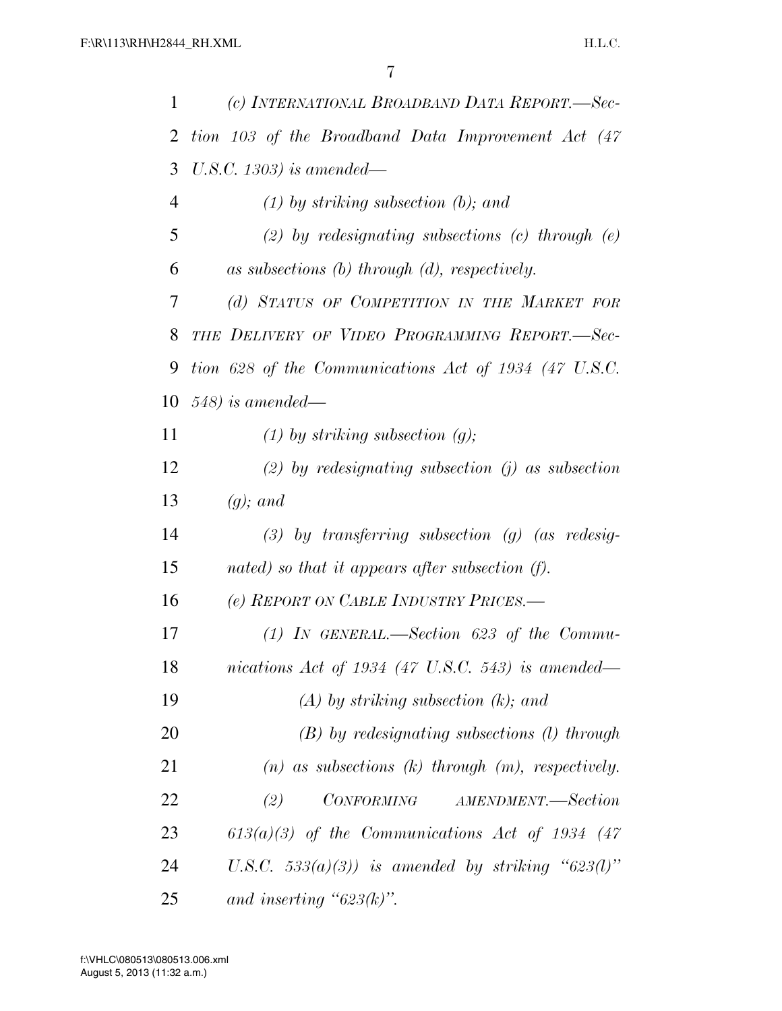| 1  | (c) INTERNATIONAL BROADBAND DATA REPORT.—Sec-            |
|----|----------------------------------------------------------|
| 2  | tion 103 of the Broadband Data Improvement Act (47       |
| 3  | U.S.C. 1303) is amended—                                 |
| 4  | $(1)$ by striking subsection (b); and                    |
| 5  | (2) by redesignating subsections (c) through $(e)$       |
| 6  | as subsections $(b)$ through $(d)$ , respectively.       |
| 7  | (d) STATUS OF COMPETITION IN THE MARKET FOR              |
| 8  | THE DELIVERY OF VIDEO PROGRAMMING REPORT.-Sec-           |
| 9  | tion 628 of the Communications Act of 1934 (47 U.S.C.    |
| 10 | $548$ ) is amended—                                      |
| 11 | $(1)$ by striking subsection $(g)$ ;                     |
| 12 | (2) by redesignating subsection (j) as subsection        |
| 13 | $(q)$ ; and                                              |
| 14 | $(3)$ by transferring subsection $(g)$ (as redesig-      |
| 15 | nated) so that it appears after subsection (f).          |
| 16 | (e) REPORT ON CABLE INDUSTRY PRICES.-                    |
| 17 | (1) IN GENERAL.—Section 623 of the Commu-                |
| 18 | nications Act of 1934 (47 U.S.C. 543) is amended—        |
| 19 | $(A)$ by striking subsection $(k)$ ; and                 |
| 20 | $(B)$ by redesignating subsections (1) through           |
| 21 | $(n)$ as subsections $(k)$ through $(m)$ , respectively. |
| 22 | (2)<br>CONFORMING AMENDMENT.—Section                     |
| 23 | $613(a)(3)$ of the Communications Act of 1934 (47)       |
| 24 | U.S.C. $533(a)(3)$ ) is amended by striking "623(l)"     |
| 25 | and inserting " $623(k)$ ".                              |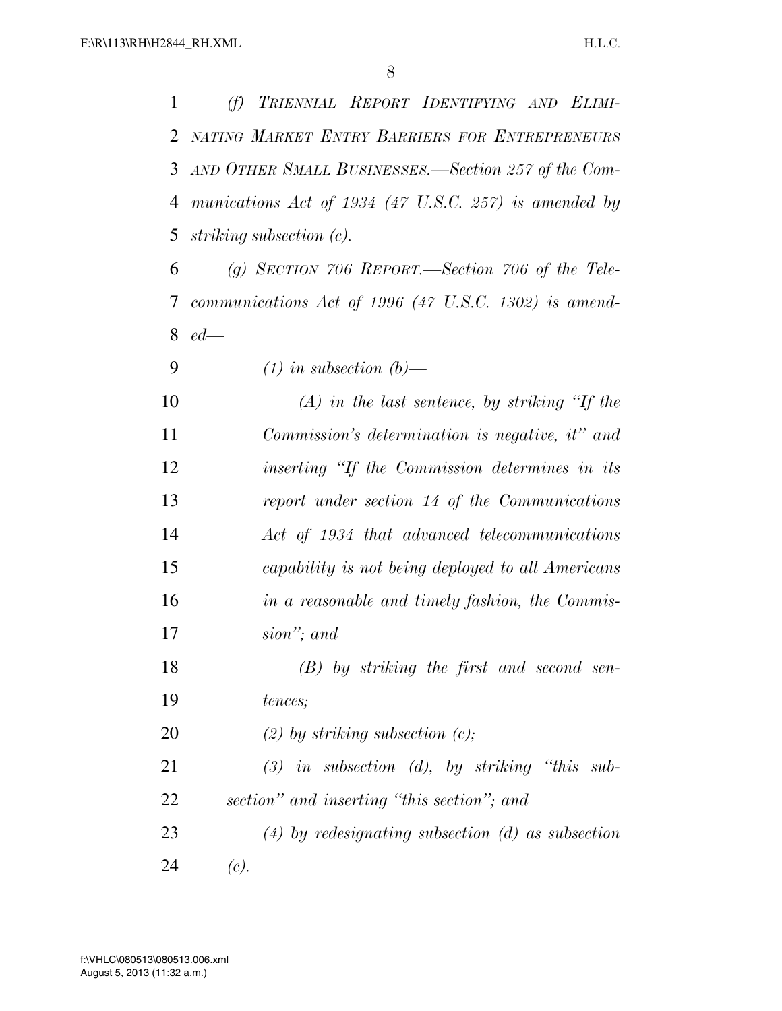*(f) TRIENNIAL REPORT IDENTIFYING AND ELIMI- NATING MARKET ENTRY BARRIERS FOR ENTREPRENEURS AND OTHER SMALL BUSINESSES.—Section 257 of the Com- munications Act of 1934 (47 U.S.C. 257) is amended by striking subsection (c).* 

 *(g) SECTION 706 REPORT.—Section 706 of the Tele- communications Act of 1996 (47 U.S.C. 1302) is amend-ed—*

*(1) in subsection (b)—*

 *(A) in the last sentence, by striking ''If the Commission's determination is negative, it'' and inserting ''If the Commission determines in its report under section 14 of the Communications Act of 1934 that advanced telecommunications capability is not being deployed to all Americans in a reasonable and timely fashion, the Commis-sion''; and* 

 *(B) by striking the first and second sen-tences;* 

*(2) by striking subsection (c);* 

 *(3) in subsection (d), by striking ''this sub-section'' and inserting ''this section''; and* 

 *(4) by redesignating subsection (d) as subsection*  24  $(c)$ .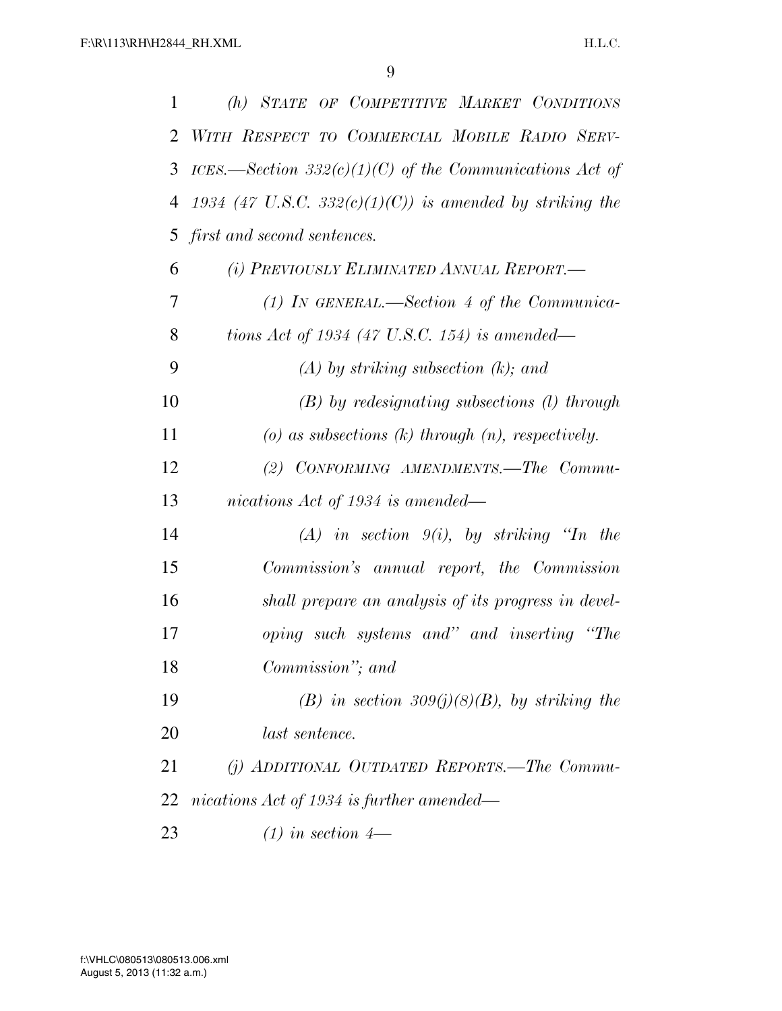| 1  | (h) STATE OF COMPETITIVE MARKET CONDITIONS               |
|----|----------------------------------------------------------|
| 2  | WITH RESPECT TO COMMERCIAL MOBILE RADIO SERV-            |
| 3  | ICES.—Section 332(c)(1)(C) of the Communications Act of  |
| 4  | 1934 (47 U.S.C. 332(c)(1)(C)) is amended by striking the |
| 5  | first and second sentences.                              |
| 6  | (i) PREVIOUSLY ELIMINATED ANNUAL REPORT.—                |
| 7  | (1) IN GENERAL.—Section 4 of the Communica-              |
| 8  | tions Act of 1934 (47 U.S.C. 154) is amended—            |
| 9  | $(A)$ by striking subsection $(k)$ ; and                 |
| 10 | $(B)$ by redesignating subsections $(I)$ through         |
| 11 | $(a)$ as subsections $(k)$ through $(n)$ , respectively. |
| 12 | (2) CONFORMING AMENDMENTS.—The Commu-                    |
| 13 | nications Act of 1934 is amended—                        |
| 14 | $(A)$ in section $9(i)$ , by striking "In the            |
| 15 | Commission's annual report, the Commission               |
| 16 | shall prepare an analysis of its progress in devel-      |
| 17 | oping such systems and" and inserting "The               |
| 18 | Commission"; and                                         |
| 19 | (B) in section 309(j)(8)(B), by striking the             |
| 20 | last sentence.                                           |
| 21 | $(j)$ ADDITIONAL OUTDATED REPORTS.—The Commu-            |
| 22 | nications Act of 1934 is further amended—                |
| 23 | $(1)$ in section 4—                                      |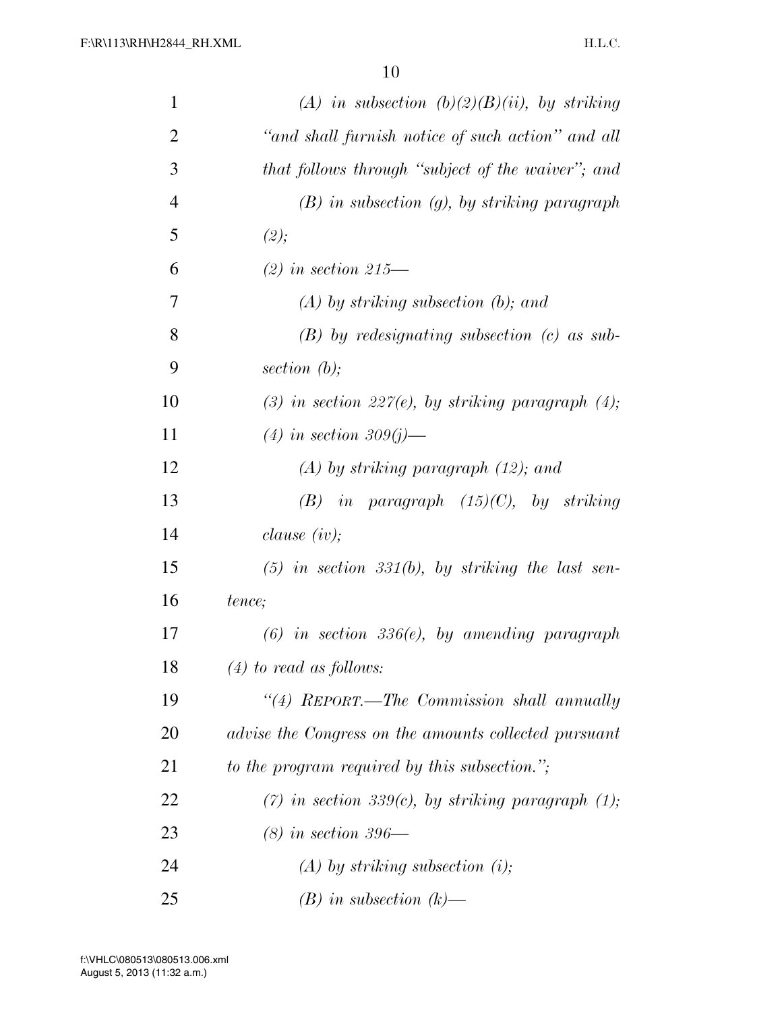| $\mathbf{1}$   | (A) in subsection $(b)(2)(B)(ii)$ , by striking        |
|----------------|--------------------------------------------------------|
| $\overline{2}$ | "and shall furnish notice of such action" and all      |
| 3              | that follows through "subject of the waiver"; and      |
| $\overline{4}$ | $(B)$ in subsection $(g)$ , by striking paragraph      |
| 5              | (2);                                                   |
| 6              | $(2)$ in section 215—                                  |
| 7              | $(A)$ by striking subsection (b); and                  |
| 8              | $(B)$ by redesignating subsection $(c)$ as sub-        |
| 9              | section $(b)$ ;                                        |
| 10             | (3) in section 227(e), by striking paragraph $(4)$ ;   |
| 11             | $(4)$ in section 309(j)—                               |
| 12             | $(A)$ by striking paragraph $(12)$ ; and               |
| 13             | $(B)$ in paragraph $(15)(C)$ , by striking             |
| 14             | <i>clause</i> $(iv);$                                  |
| 15             | $(5)$ in section 331(b), by striking the last sen-     |
| 16             | tence;                                                 |
| 17             | $(6)$ in section 336 $(e)$ , by amending paragraph     |
| 18             | $(4)$ to read as follows:                              |
| 19             | "(4) REPORT.—The Commission shall annually             |
| 20             | advise the Congress on the amounts collected pursuant  |
| 21             | to the program required by this subsection.";          |
| 22             | $(7)$ in section 339(c), by striking paragraph $(1)$ ; |
| 23             | $(8)$ in section 396—                                  |
| 24             | $(A)$ by striking subsection (i);                      |
| 25             | $(B)$ in subsection $(k)$ —                            |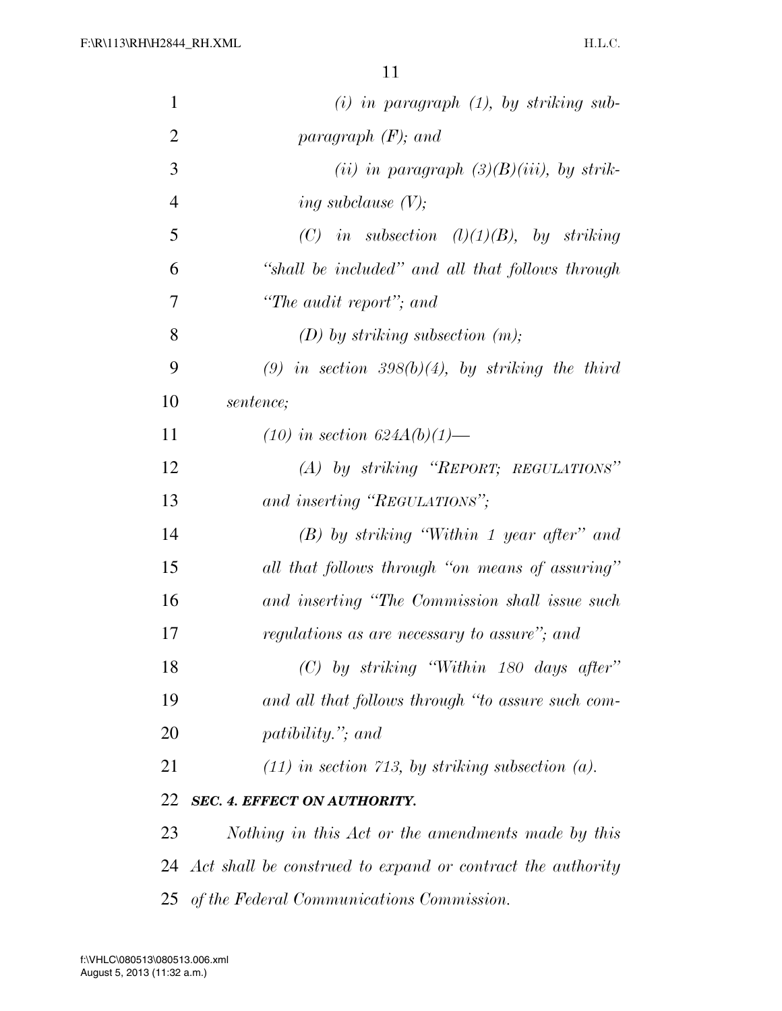| $\mathbf{1}$   | $(i)$ in paragraph $(1)$ , by striking sub-                |
|----------------|------------------------------------------------------------|
| $\overline{2}$ | paragraph $(F)$ ; and                                      |
| 3              | (ii) in paragraph $(3)(B)(iii)$ , by strik-                |
| $\overline{4}$ | ing subclause $(V)$ ;                                      |
| 5              | (C) in subsection $(l)(1)(B)$ , by striking                |
| 6              | "shall be included" and all that follows through           |
| 7              | "The audit report"; and                                    |
| 8              | $(D)$ by striking subsection $(m)$ ;                       |
| 9              | (9) in section 398(b)(4), by striking the third            |
| 10             | sentence;                                                  |
| 11             | $(10)$ in section $624A(b)(1)$ —                           |
| 12             | (A) by striking "REPORT; REGULATIONS"                      |
| 13             | and inserting "REGULATIONS";                               |
| 14             | $(B)$ by striking "Within 1 year after" and                |
| 15             | all that follows through "on means of assuring"            |
| 16             | and inserting "The Commission shall issue such             |
| 17             | regulations as are necessary to assure"; and               |
| 18             | $(C)$ by striking "Within 180 days after"                  |
| 19             | and all that follows through "to assure such com-          |
| 20             | <i>patibility.</i> "; and                                  |
| 21             | $(11)$ in section 713, by striking subsection (a).         |
| 22             | <b>SEC. 4. EFFECT ON AUTHORITY.</b>                        |
| 23             | Nothing in this Act or the amendments made by this         |
| 24             | Act shall be construed to expand or contract the authority |
| 25             | of the Federal Communications Commission.                  |